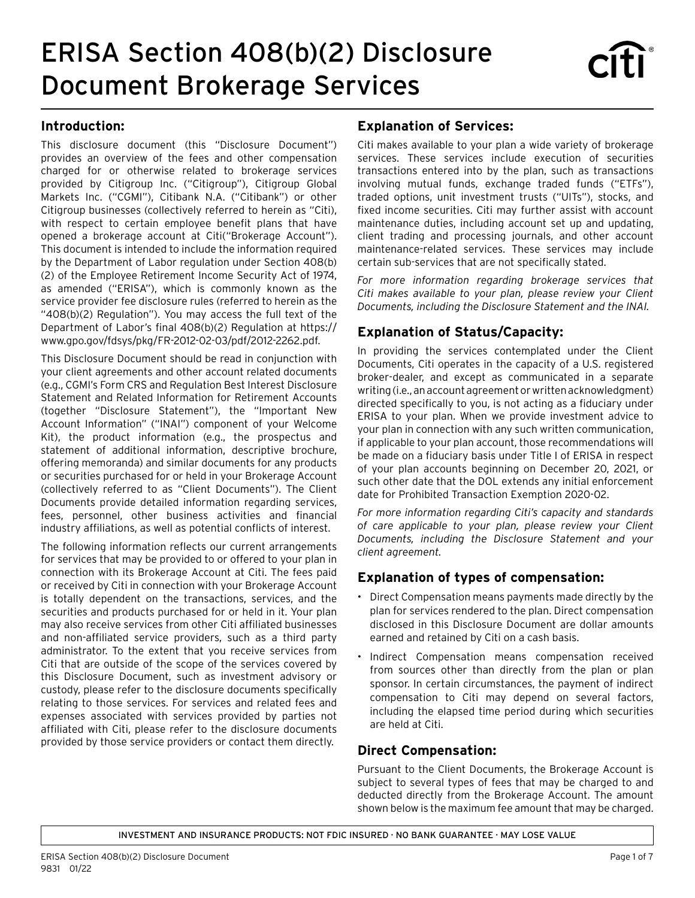# ERISA Section 408(b)(2) Disclosure Document Brokerage Services

#### **Introduction:**

This disclosure document (this "Disclosure Document") provides an overview of the fees and other compensation charged for or otherwise related to brokerage services provided by Citigroup Inc. ("Citigroup"), Citigroup Global Markets Inc. ("CGMI"), Citibank N.A. ("Citibank") or other Citigroup businesses (collectively referred to herein as "Citi), with respect to certain employee benefit plans that have opened a brokerage account at Citi("Brokerage Account"). This document is intended to include the information required by the Department of Labor regulation under Section 408(b) (2) of the Employee Retirement Income Security Act of 1974, as amended ("ERISA"), which is commonly known as the service provider fee disclosure rules (referred to herein as the "408(b)(2) Regulation"). You may access the full text of the Department of Labor's final 408(b)(2) Regulation at [https://](https://www.govinfo.gov/content/pkg/FR-2012-02-03/pdf/2012-2262.pdf) [www.gpo.gov/fdsys/pkg/FR-2012-02-03/pdf/2012-2262.pdf](https://www.govinfo.gov/content/pkg/FR-2012-02-03/pdf/2012-2262.pdf).

This Disclosure Document should be read in conjunction with your client agreements and other account related documents (e.g., CGMI's Form CRS and Regulation Best Interest Disclosure Statement and Related Information for Retirement Accounts (together "Disclosure Statement"), the "Important New Account Information" ("INAI") component of your Welcome Kit), the product information (e.g., the prospectus and statement of additional information, descriptive brochure, offering memoranda) and similar documents for any products or securities purchased for or held in your Brokerage Account (collectively referred to as "Client Documents"). The Client Documents provide detailed information regarding services, fees, personnel, other business activities and financial industry affiliations, as well as potential conflicts of interest.

The following information reflects our current arrangements for services that may be provided to or offered to your plan in connection with its Brokerage Account at Citi. The fees paid or received by Citi in connection with your Brokerage Account is totally dependent on the transactions, services, and the securities and products purchased for or held in it. Your plan may also receive services from other Citi affiliated businesses and non-affiliated service providers, such as a third party administrator. To the extent that you receive services from Citi that are outside of the scope of the services covered by this Disclosure Document, such as investment advisory or custody, please refer to the disclosure documents specifically relating to those services. For services and related fees and expenses associated with services provided by parties not affiliated with Citi, please refer to the disclosure documents provided by those service providers or contact them directly.

## **Explanation of Services:**

Citi makes available to your plan a wide variety of brokerage services. These services include execution of securities transactions entered into by the plan, such as transactions involving mutual funds, exchange traded funds ("ETFs"), traded options, unit investment trusts ("UITs"), stocks, and fixed income securities. Citi may further assist with account maintenance duties, including account set up and updating, client trading and processing journals, and other account maintenance-related services. These services may include certain sub-services that are not specifically stated.

*For more information regarding brokerage services that Citi makes available to your plan, please review your Client Documents, including the Disclosure Statement and the INAI.*

# **Explanation of Status/Capacity:**

In providing the services contemplated under the Client Documents, Citi operates in the capacity of a U.S. registered broker-dealer, and except as communicated in a separate writing (i.e., an account agreement or written acknowledgment) directed specifically to you, is not acting as a fiduciary under ERISA to your plan. When we provide investment advice to your plan in connection with any such written communication, if applicable to your plan account, those recommendations will be made on a fiduciary basis under Title I of ERISA in respect of your plan accounts beginning on December 20, 2021, or such other date that the DOL extends any initial enforcement date for Prohibited Transaction Exemption 2020-02.

*For more information regarding Citi's capacity and standards of care applicable to your plan, please review your Client Documents, including the Disclosure Statement and your client agreement.*

# **Explanation of types of compensation:**

- Direct Compensation means payments made directly by the plan for services rendered to the plan. Direct compensation disclosed in this Disclosure Document are dollar amounts earned and retained by Citi on a cash basis.
- Indirect Compensation means compensation received from sources other than directly from the plan or plan sponsor. In certain circumstances, the payment of indirect compensation to Citi may depend on several factors, including the elapsed time period during which securities are held at Citi.

#### **Direct Compensation:**

Pursuant to the Client Documents, the Brokerage Account is subject to several types of fees that may be charged to and deducted directly from the Brokerage Account. The amount shown below is the maximum fee amount that may be charged.

INVESTMENT AND INSURANCE PRODUCTS: NOT FDIC INSURED · NO BANK GUARANTEE · MAY LOSE VALUE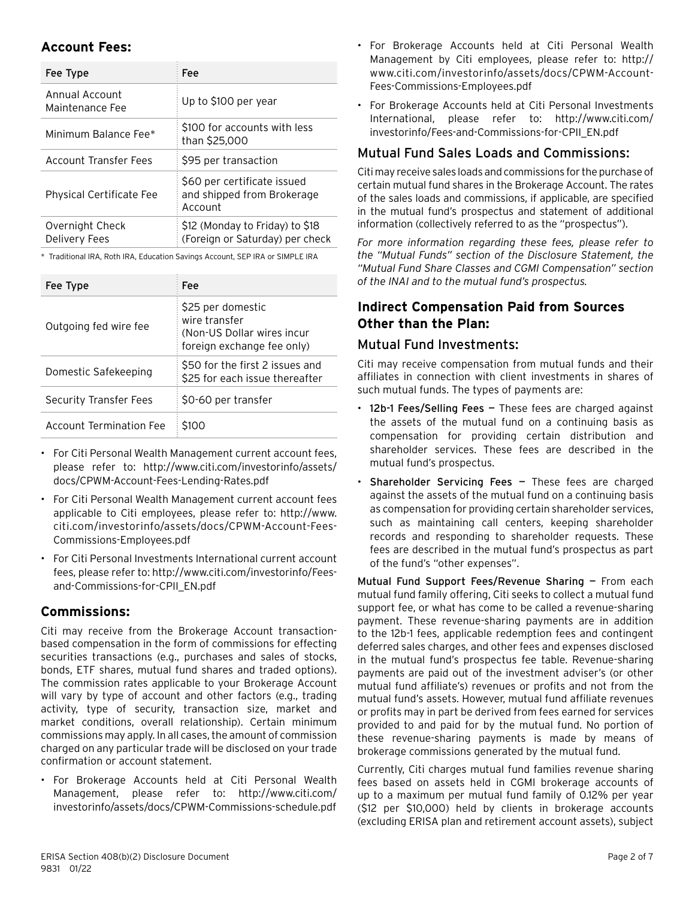## **Account Fees:**

| Fee Type                          | Fee                                                                  |
|-----------------------------------|----------------------------------------------------------------------|
| Annual Account<br>Maintenance Fee | Up to \$100 per year                                                 |
| Minimum Balance Fee*              | \$100 for accounts with less<br>than \$25,000                        |
| Account Transfer Fees             | \$95 per transaction                                                 |
| <b>Physical Certificate Fee</b>   | \$60 per certificate issued<br>and shipped from Brokerage<br>Account |
| Overnight Check<br>Delivery Fees  | \$12 (Monday to Friday) to \$18<br>(Foreign or Saturday) per check   |

\* Traditional IRA, Roth IRA, Education Savings Account, SEP IRA or SIMPLE IRA

| Fee Type                | Fee                                                                                            |
|-------------------------|------------------------------------------------------------------------------------------------|
| Outgoing fed wire fee   | \$25 per domestic<br>wire transfer<br>(Non-US Dollar wires incur<br>foreign exchange fee only) |
| Domestic Safekeeping    | \$50 for the first 2 issues and<br>\$25 for each issue thereafter                              |
| Security Transfer Fees  | \$0-60 per transfer                                                                            |
| Account Termination Fee | S100                                                                                           |

- For Citi Personal Wealth Management current account fees, please refer to: [http://www.citi.com/investorinfo/assets/](https://www.citi.com/investorinfo/assets/docs/CPWM-Account-Fees-Lending-Rates.pdf) [docs/CPWM-Account-Fees-Lending-Rates.pdf](https://www.citi.com/investorinfo/assets/docs/CPWM-Account-Fees-Lending-Rates.pdf)
- For Citi Personal Wealth Management current account fees applicable to Citi employees, please refer to: [http://www.](https://www.citi.com/investorinfo/assets/docs/CPWM-Account-Fees-Commissions-Employees.pdf) [citi.com/investorinfo/assets/docs/CPWM-Account-Fees-](https://www.citi.com/investorinfo/assets/docs/CPWM-Account-Fees-Commissions-Employees.pdf)[Commissions-Employees.pdf](https://www.citi.com/investorinfo/assets/docs/CPWM-Account-Fees-Commissions-Employees.pdf)
- For Citi Personal Investments International current account fees, please refer to: [http://www.citi.com/investorinfo/Fees](https://www.citi.com/investorinfo/Fees-and-Commissions-for-CPII_EN.pdf)[and-Commissions-for-CPII\\_EN.pdf](https://www.citi.com/investorinfo/Fees-and-Commissions-for-CPII_EN.pdf)

# **Commissions:**

Citi may receive from the Brokerage Account transactionbased compensation in the form of commissions for effecting securities transactions (e.g., purchases and sales of stocks, bonds, ETF shares, mutual fund shares and traded options). The commission rates applicable to your Brokerage Account will vary by type of account and other factors (e.g., trading activity, type of security, transaction size, market and market conditions, overall relationship). Certain minimum commissions may apply. In all cases, the amount of commission charged on any particular trade will be disclosed on your trade confirmation or account statement.

• For Brokerage Accounts held at Citi Personal Wealth Management, please refer to: [http://www.citi.com/](https://www.citi.com/investorinfo/assets/docs/CPWM-Commissions-schedule.pdf) [investorinfo/assets/docs/CPWM-Commissions-schedule.pdf](https://www.citi.com/investorinfo/assets/docs/CPWM-Commissions-schedule.pdf)

- For Brokerage Accounts held at Citi Personal Wealth Management by Citi employees, please refer to: [http://](https://www.citi.com/investorinfo/assets/docs/CPWM-Account-Fees-Commissions-Employees.pdf) [www.citi.com/investorinfo/assets/docs/CPWM-Account-](https://www.citi.com/investorinfo/assets/docs/CPWM-Account-Fees-Commissions-Employees.pdf)[Fees-Commissions-Employees.pdf](https://www.citi.com/investorinfo/assets/docs/CPWM-Account-Fees-Commissions-Employees.pdf)
- For Brokerage Accounts held at Citi Personal Investments International, please refer to: [http://www.citi.com/](https://www.citi.com/investorinfo/Fees-and-Commissions-for-CPII_EN.pdf) [investorinfo/Fees-and-Commissions-for-CPII\\_EN.pdf](https://www.citi.com/investorinfo/Fees-and-Commissions-for-CPII_EN.pdf)

#### Mutual Fund Sales Loads and Commissions:

Citi may receive sales loads and commissions for the purchase of certain mutual fund shares in the Brokerage Account. The rates of the sales loads and commissions, if applicable, are specified in the mutual fund's prospectus and statement of additional information (collectively referred to as the "prospectus").

*For more information regarding these fees, please refer to the "Mutual Funds" section of the Disclosure Statement, the "Mutual Fund Share Classes and CGMI Compensation" section of the INAI and to the mutual fund's prospectus.*

## **Indirect Compensation Paid from Sources Other than the Plan:**

#### Mutual Fund Investments:

Citi may receive compensation from mutual funds and their affiliates in connection with client investments in shares of such mutual funds. The types of payments are:

- 12b-1 Fees/Selling Fees These fees are charged against the assets of the mutual fund on a continuing basis as compensation for providing certain distribution and shareholder services. These fees are described in the mutual fund's prospectus.
- Shareholder Servicing Fees These fees are charged against the assets of the mutual fund on a continuing basis as compensation for providing certain shareholder services, such as maintaining call centers, keeping shareholder records and responding to shareholder requests. These fees are described in the mutual fund's prospectus as part of the fund's "other expenses".

Mutual Fund Support Fees/Revenue Sharing — From each mutual fund family offering, Citi seeks to collect a mutual fund support fee, or what has come to be called a revenue-sharing payment. These revenue-sharing payments are in addition to the 12b-1 fees, applicable redemption fees and contingent deferred sales charges, and other fees and expenses disclosed in the mutual fund's prospectus fee table. Revenue-sharing payments are paid out of the investment adviser's (or other mutual fund affiliate's) revenues or profits and not from the mutual fund's assets. However, mutual fund affiliate revenues or profits may in part be derived from fees earned for services provided to and paid for by the mutual fund. No portion of these revenue-sharing payments is made by means of brokerage commissions generated by the mutual fund.

Currently, Citi charges mutual fund families revenue sharing fees based on assets held in CGMI brokerage accounts of up to a maximum per mutual fund family of 0.12% per year (\$12 per \$10,000) held by clients in brokerage accounts (excluding ERISA plan and retirement account assets), subject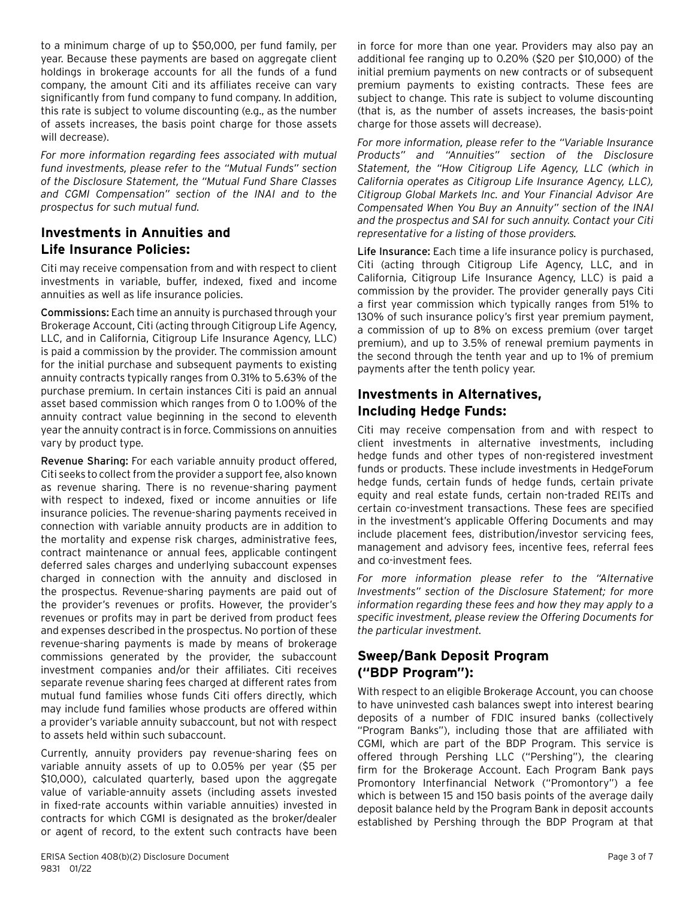to a minimum charge of up to \$50,000, per fund family, per year. Because these payments are based on aggregate client holdings in brokerage accounts for all the funds of a fund company, the amount Citi and its affiliates receive can vary significantly from fund company to fund company. In addition, this rate is subject to volume discounting (e.g., as the number of assets increases, the basis point charge for those assets will decrease).

*For more information regarding fees associated with mutual fund investments, please refer to the "Mutual Funds" section of the Disclosure Statement, the "Mutual Fund Share Classes and CGMI Compensation" section of the INAI and to the prospectus for such mutual fund.*

## **Investments in Annuities and Life Insurance Policies:**

Citi may receive compensation from and with respect to client investments in variable, buffer, indexed, fixed and income annuities as well as life insurance policies.

Commissions: Each time an annuity is purchased through your Brokerage Account, Citi (acting through Citigroup Life Agency, LLC, and in California, Citigroup Life Insurance Agency, LLC) is paid a commission by the provider. The commission amount for the initial purchase and subsequent payments to existing annuity contracts typically ranges from 0.31% to 5.63% of the purchase premium. In certain instances Citi is paid an annual asset based commission which ranges from 0 to 1.00% of the annuity contract value beginning in the second to eleventh year the annuity contract is in force. Commissions on annuities vary by product type.

Revenue Sharing: For each variable annuity product offered, Citi seeks to collect from the provider a support fee, also known as revenue sharing. There is no revenue-sharing payment with respect to indexed, fixed or income annuities or life insurance policies. The revenue-sharing payments received in connection with variable annuity products are in addition to the mortality and expense risk charges, administrative fees, contract maintenance or annual fees, applicable contingent deferred sales charges and underlying subaccount expenses charged in connection with the annuity and disclosed in the prospectus. Revenue-sharing payments are paid out of the provider's revenues or profits. However, the provider's revenues or profits may in part be derived from product fees and expenses described in the prospectus. No portion of these revenue-sharing payments is made by means of brokerage commissions generated by the provider, the subaccount investment companies and/or their affiliates. Citi receives separate revenue sharing fees charged at different rates from mutual fund families whose funds Citi offers directly, which may include fund families whose products are offered within a provider's variable annuity subaccount, but not with respect to assets held within such subaccount.

Currently, annuity providers pay revenue-sharing fees on variable annuity assets of up to 0.05% per year (\$5 per \$10,000), calculated quarterly, based upon the aggregate value of variable-annuity assets (including assets invested in fixed-rate accounts within variable annuities) invested in contracts for which CGMI is designated as the broker/dealer or agent of record, to the extent such contracts have been in force for more than one year. Providers may also pay an additional fee ranging up to 0.20% (\$20 per \$10,000) of the initial premium payments on new contracts or of subsequent premium payments to existing contracts. These fees are subject to change. This rate is subject to volume discounting (that is, as the number of assets increases, the basis-point charge for those assets will decrease).

*For more information, please refer to the "Variable Insurance Products" and "Annuities" section of the Disclosure Statement, the "How Citigroup Life Agency, LLC (which in California operates as Citigroup Life Insurance Agency, LLC), Citigroup Global Markets Inc. and Your Financial Advisor Are Compensated When You Buy an Annuity" section of the INAI and the prospectus and SAI for such annuity. Contact your Citi representative for a listing of those providers.*

Life Insurance: Each time a life insurance policy is purchased, Citi (acting through Citigroup Life Agency, LLC, and in California, Citigroup Life Insurance Agency, LLC) is paid a commission by the provider. The provider generally pays Citi a first year commission which typically ranges from 51% to 130% of such insurance policy's first year premium payment, a commission of up to 8% on excess premium (over target premium), and up to 3.5% of renewal premium payments in the second through the tenth year and up to 1% of premium payments after the tenth policy year.

## **Investments in Alternatives, Including Hedge Funds:**

Citi may receive compensation from and with respect to client investments in alternative investments, including hedge funds and other types of non-registered investment funds or products. These include investments in HedgeForum hedge funds, certain funds of hedge funds, certain private equity and real estate funds, certain non-traded REITs and certain co-investment transactions. These fees are specified in the investment's applicable Offering Documents and may include placement fees, distribution/investor servicing fees, management and advisory fees, incentive fees, referral fees and co-investment fees.

*For more information please refer to the "Alternative Investments" section of the Disclosure Statement; for more information regarding these fees and how they may apply to a specific investment, please review the Offering Documents for the particular investment.*

#### **Sweep/Bank Deposit Program ("BDP Program"):**

With respect to an eligible Brokerage Account, you can choose to have uninvested cash balances swept into interest bearing deposits of a number of FDIC insured banks (collectively "Program Banks"), including those that are affiliated with CGMI, which are part of the BDP Program. This service is offered through Pershing LLC ("Pershing"), the clearing firm for the Brokerage Account. Each Program Bank pays Promontory Interfinancial Network ("Promontory") a fee which is between 15 and 150 basis points of the average daily deposit balance held by the Program Bank in deposit accounts established by Pershing through the BDP Program at that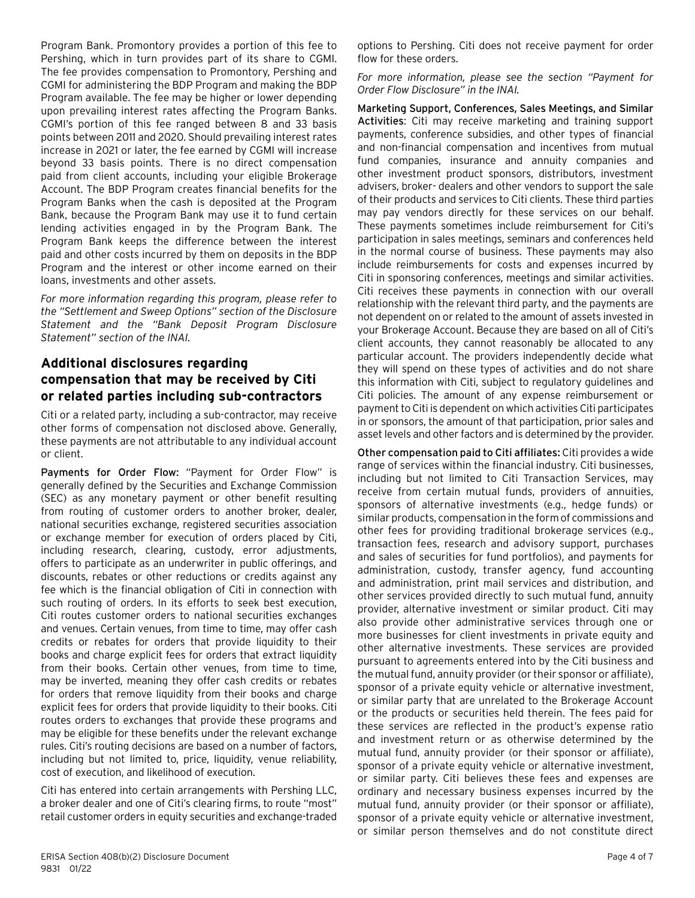Program Bank. Promontory provides a portion of this fee to Pershing, which in turn provides part of its share to CGMI. The fee provides compensation to Promontory, Pershing and CGMI for administering the BDP Program and making the BDP Program available. The fee may be higher or lower depending upon prevailing interest rates affecting the Program Banks. CGMI's portion of this fee ranged between 8 and 33 basis points between 2011 and 2020. Should prevailing interest rates increase in 2021 or later, the fee earned by CGMI will increase beyond 33 basis points. There is no direct compensation paid from client accounts, including your eligible Brokerage Account. The BDP Program creates financial benefits for the Program Banks when the cash is deposited at the Program Bank, because the Program Bank may use it to fund certain lending activities engaged in by the Program Bank. The Program Bank keeps the difference between the interest paid and other costs incurred by them on deposits in the BDP Program and the interest or other income earned on their loans, investments and other assets.

*For more information regarding this program, please refer to the "Settlement and Sweep Options" section of the Disclosure Statement and the "Bank Deposit Program Disclosure Statement" section of the INAI.*

## **Additional disclosures regarding compensation that may be received by Citi or related parties including sub-contractors**

Citi or a related party, including a sub-contractor, may receive other forms of compensation not disclosed above. Generally, these payments are not attributable to any individual account or client.

Payments for Order Flow: "Payment for Order Flow" is generally defined by the Securities and Exchange Commission (SEC) as any monetary payment or other benefit resulting from routing of customer orders to another broker, dealer, national securities exchange, registered securities association or exchange member for execution of orders placed by Citi, including research, clearing, custody, error adjustments, offers to participate as an underwriter in public offerings, and discounts, rebates or other reductions or credits against any fee which is the financial obligation of Citi in connection with such routing of orders. In its efforts to seek best execution, Citi routes customer orders to national securities exchanges and venues. Certain venues, from time to time, may offer cash credits or rebates for orders that provide liquidity to their books and charge explicit fees for orders that extract liquidity from their books. Certain other venues, from time to time, may be inverted, meaning they offer cash credits or rebates for orders that remove liquidity from their books and charge explicit fees for orders that provide liquidity to their books. Citi routes orders to exchanges that provide these programs and may be eligible for these benefits under the relevant exchange rules. Citi's routing decisions are based on a number of factors, including but not limited to, price, liquidity, venue reliability, cost of execution, and likelihood of execution.

Citi has entered into certain arrangements with Pershing LLC, a broker dealer and one of Citi's clearing firms, to route "most" retail customer orders in equity securities and exchange-traded options to Pershing. Citi does not receive payment for order flow for these orders.

*For more information, please see the section "Payment for Order Flow Disclosure" in the INAI.*

Marketing Support, Conferences, Sales Meetings, and Similar Activities: Citi may receive marketing and training support payments, conference subsidies, and other types of financial and non-financial compensation and incentives from mutual fund companies, insurance and annuity companies and other investment product sponsors, distributors, investment advisers, broker- dealers and other vendors to support the sale of their products and services to Citi clients. These third parties may pay vendors directly for these services on our behalf. These payments sometimes include reimbursement for Citi's participation in sales meetings, seminars and conferences held in the normal course of business. These payments may also include reimbursements for costs and expenses incurred by Citi in sponsoring conferences, meetings and similar activities. Citi receives these payments in connection with our overall relationship with the relevant third party, and the payments are not dependent on or related to the amount of assets invested in your Brokerage Account. Because they are based on all of Citi's client accounts, they cannot reasonably be allocated to any particular account. The providers independently decide what they will spend on these types of activities and do not share this information with Citi, subject to regulatory guidelines and Citi policies. The amount of any expense reimbursement or payment to Citi is dependent on which activities Citi participates in or sponsors, the amount of that participation, prior sales and asset levels and other factors and is determined by the provider.

Other compensation paid to Citi affiliates: Citi provides a wide range of services within the financial industry. Citi businesses, including but not limited to Citi Transaction Services, may receive from certain mutual funds, providers of annuities, sponsors of alternative investments (e.g., hedge funds) or similar products, compensation in the form of commissions and other fees for providing traditional brokerage services (e.g., transaction fees, research and advisory support, purchases and sales of securities for fund portfolios), and payments for administration, custody, transfer agency, fund accounting and administration, print mail services and distribution, and other services provided directly to such mutual fund, annuity provider, alternative investment or similar product. Citi may also provide other administrative services through one or more businesses for client investments in private equity and other alternative investments. These services are provided pursuant to agreements entered into by the Citi business and the mutual fund, annuity provider (or their sponsor or affiliate), sponsor of a private equity vehicle or alternative investment, or similar party that are unrelated to the Brokerage Account or the products or securities held therein. The fees paid for these services are reflected in the product's expense ratio and investment return or as otherwise determined by the mutual fund, annuity provider (or their sponsor or affiliate), sponsor of a private equity vehicle or alternative investment, or similar party. Citi believes these fees and expenses are ordinary and necessary business expenses incurred by the mutual fund, annuity provider (or their sponsor or affiliate), sponsor of a private equity vehicle or alternative investment, or similar person themselves and do not constitute direct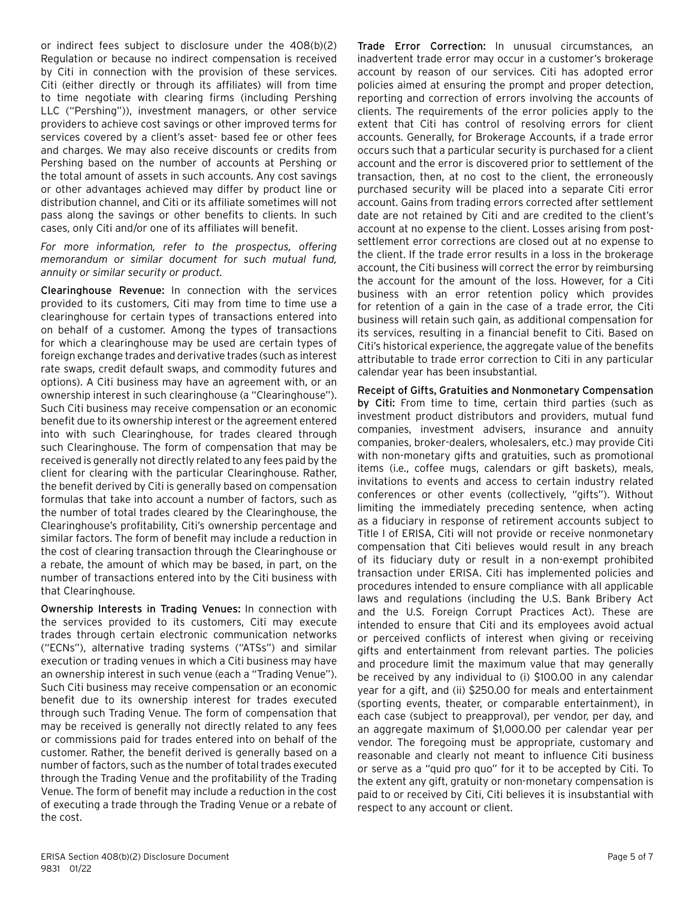or indirect fees subject to disclosure under the 408(b)(2) Regulation or because no indirect compensation is received by Citi in connection with the provision of these services. Citi (either directly or through its affiliates) will from time to time negotiate with clearing firms (including Pershing LLC ("Pershing")), investment managers, or other service providers to achieve cost savings or other improved terms for services covered by a client's asset- based fee or other fees and charges. We may also receive discounts or credits from Pershing based on the number of accounts at Pershing or the total amount of assets in such accounts. Any cost savings or other advantages achieved may differ by product line or distribution channel, and Citi or its affiliate sometimes will not pass along the savings or other benefits to clients. In such cases, only Citi and/or one of its affiliates will benefit.

*For more information, refer to the prospectus, offering memorandum or similar document for such mutual fund, annuity or similar security or product.*

Clearinghouse Revenue: In connection with the services provided to its customers, Citi may from time to time use a clearinghouse for certain types of transactions entered into on behalf of a customer. Among the types of transactions for which a clearinghouse may be used are certain types of foreign exchange trades and derivative trades (such as interest rate swaps, credit default swaps, and commodity futures and options). A Citi business may have an agreement with, or an ownership interest in such clearinghouse (a "Clearinghouse"). Such Citi business may receive compensation or an economic benefit due to its ownership interest or the agreement entered into with such Clearinghouse, for trades cleared through such Clearinghouse. The form of compensation that may be received is generally not directly related to any fees paid by the client for clearing with the particular Clearinghouse. Rather, the benefit derived by Citi is generally based on compensation formulas that take into account a number of factors, such as the number of total trades cleared by the Clearinghouse, the Clearinghouse's profitability, Citi's ownership percentage and similar factors. The form of benefit may include a reduction in the cost of clearing transaction through the Clearinghouse or a rebate, the amount of which may be based, in part, on the number of transactions entered into by the Citi business with that Clearinghouse.

Ownership Interests in Trading Venues: In connection with the services provided to its customers, Citi may execute trades through certain electronic communication networks ("ECNs"), alternative trading systems ("ATSs") and similar execution or trading venues in which a Citi business may have an ownership interest in such venue (each a "Trading Venue"). Such Citi business may receive compensation or an economic benefit due to its ownership interest for trades executed through such Trading Venue. The form of compensation that may be received is generally not directly related to any fees or commissions paid for trades entered into on behalf of the customer. Rather, the benefit derived is generally based on a number of factors, such as the number of total trades executed through the Trading Venue and the profitability of the Trading Venue. The form of benefit may include a reduction in the cost of executing a trade through the Trading Venue or a rebate of the cost.

Trade Error Correction: In unusual circumstances, an inadvertent trade error may occur in a customer's brokerage account by reason of our services. Citi has adopted error policies aimed at ensuring the prompt and proper detection, reporting and correction of errors involving the accounts of clients. The requirements of the error policies apply to the extent that Citi has control of resolving errors for client accounts. Generally, for Brokerage Accounts, if a trade error occurs such that a particular security is purchased for a client account and the error is discovered prior to settlement of the transaction, then, at no cost to the client, the erroneously purchased security will be placed into a separate Citi error account. Gains from trading errors corrected after settlement date are not retained by Citi and are credited to the client's account at no expense to the client. Losses arising from postsettlement error corrections are closed out at no expense to the client. If the trade error results in a loss in the brokerage account, the Citi business will correct the error by reimbursing the account for the amount of the loss. However, for a Citi business with an error retention policy which provides for retention of a gain in the case of a trade error, the Citi business will retain such gain, as additional compensation for its services, resulting in a financial benefit to Citi. Based on Citi's historical experience, the aggregate value of the benefits attributable to trade error correction to Citi in any particular calendar year has been insubstantial.

Receipt of Gifts, Gratuities and Nonmonetary Compensation by Citi: From time to time, certain third parties (such as investment product distributors and providers, mutual fund companies, investment advisers, insurance and annuity companies, broker-dealers, wholesalers, etc.) may provide Citi with non-monetary gifts and gratuities, such as promotional items (i.e., coffee mugs, calendars or gift baskets), meals, invitations to events and access to certain industry related conferences or other events (collectively, "gifts"). Without limiting the immediately preceding sentence, when acting as a fiduciary in response of retirement accounts subject to Title I of ERISA, Citi will not provide or receive nonmonetary compensation that Citi believes would result in any breach of its fiduciary duty or result in a non-exempt prohibited transaction under ERISA. Citi has implemented policies and procedures intended to ensure compliance with all applicable laws and regulations (including the U.S. Bank Bribery Act and the U.S. Foreign Corrupt Practices Act). These are intended to ensure that Citi and its employees avoid actual or perceived conflicts of interest when giving or receiving gifts and entertainment from relevant parties. The policies and procedure limit the maximum value that may generally be received by any individual to (i) \$100.00 in any calendar year for a gift, and (ii) \$250.00 for meals and entertainment (sporting events, theater, or comparable entertainment), in each case (subject to preapproval), per vendor, per day, and an aggregate maximum of \$1,000.00 per calendar year per vendor. The foregoing must be appropriate, customary and reasonable and clearly not meant to influence Citi business or serve as a "quid pro quo" for it to be accepted by Citi. To the extent any gift, gratuity or non-monetary compensation is paid to or received by Citi, Citi believes it is insubstantial with respect to any account or client.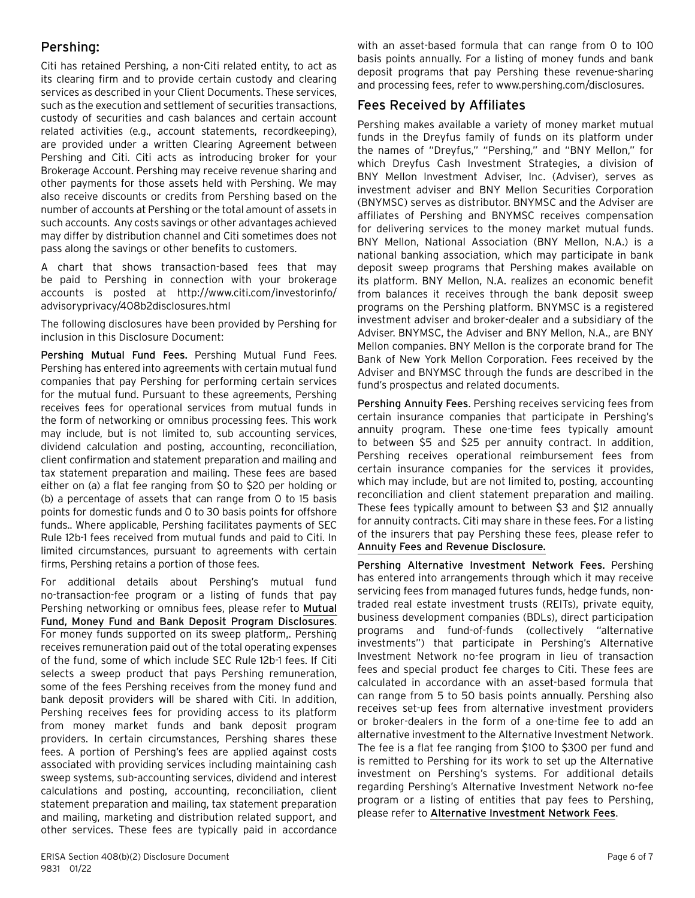#### Pershing:

Citi has retained Pershing, a non-Citi related entity, to act as its clearing firm and to provide certain custody and clearing services as described in your Client Documents. These services, such as the execution and settlement of securities transactions, custody of securities and cash balances and certain account related activities (e.g., account statements, recordkeeping), are provided under a written Clearing Agreement between Pershing and Citi. Citi acts as introducing broker for your Brokerage Account. Pershing may receive revenue sharing and other payments for those assets held with Pershing. We may also receive discounts or credits from Pershing based on the number of accounts at Pershing or the total amount of assets in such accounts. Any costs savings or other advantages achieved may differ by distribution channel and Citi sometimes does not pass along the savings or other benefits to customers.

A chart that shows transaction-based fees that may be paid to Pershing in connection with your brokerage accounts is posted at [http://www.citi.com/investorinfo/](https://www.citi.com/investorinfo/advisoryprivacy/408b2disclosures.html) [advisoryprivacy/408b2disclosures.html](https://www.citi.com/investorinfo/advisoryprivacy/408b2disclosures.html)

The following disclosures have been provided by Pershing for inclusion in this Disclosure Document:

Pershing Mutual Fund Fees. Pershing Mutual Fund Fees. Pershing has entered into agreements with certain mutual fund companies that pay Pershing for performing certain services for the mutual fund. Pursuant to these agreements, Pershing receives fees for operational services from mutual funds in the form of networking or omnibus processing fees. This work may include, but is not limited to, sub accounting services, dividend calculation and posting, accounting, reconciliation, client confirmation and statement preparation and mailing and tax statement preparation and mailing. These fees are based either on (a) a flat fee ranging from \$0 to \$20 per holding or (b) a percentage of assets that can range from 0 to 15 basis points for domestic funds and 0 to 30 basis points for offshore funds.. Where applicable, Pershing facilitates payments of SEC Rule 12b-1 fees received from mutual funds and paid to Citi. In limited circumstances, pursuant to agreements with certain firms, Pershing retains a portion of those fees.

For additional details about Pershing's mutual fund no-transaction-fee program or a listing of funds that pay Pershing networking or omnibus fees, please refer to [Mutual](https://www.pershing.com/_global-assets/pdf/disclosures/per-mutual-fund-money-fund-and-bank-deposit-program-disclosures.pdf) [Fund, Money Fund and Bank Deposit Program Disclosures](https://www.pershing.com/_global-assets/pdf/disclosures/per-mutual-fund-money-fund-and-bank-deposit-program-disclosures.pdf). For money funds supported on its sweep platform,. Pershing receives remuneration paid out of the total operating expenses of the fund, some of which include SEC Rule 12b-1 fees. If Citi selects a sweep product that pays Pershing remuneration, some of the fees Pershing receives from the money fund and bank deposit providers will be shared with Citi. In addition, Pershing receives fees for providing access to its platform from money market funds and bank deposit program providers. In certain circumstances, Pershing shares these fees. A portion of Pershing's fees are applied against costs associated with providing services including maintaining cash sweep systems, sub-accounting services, dividend and interest calculations and posting, accounting, reconciliation, client statement preparation and mailing, tax statement preparation and mailing, marketing and distribution related support, and other services. These fees are typically paid in accordance

with an asset-based formula that can range from 0 to 100 basis points annually. For a listing of money funds and bank deposit programs that pay Pershing these revenue-sharing and processing fees, refer to [www.pershing.com/disclosures.](http://www.pershing.com/disclosures)

#### Fees Received by Affiliates

Pershing makes available a variety of money market mutual funds in the Dreyfus family of funds on its platform under the names of "Dreyfus," "Pershing," and "BNY Mellon," for which Dreyfus Cash Investment Strategies, a division of BNY Mellon Investment Adviser, Inc. (Adviser), serves as investment adviser and BNY Mellon Securities Corporation (BNYMSC) serves as distributor. BNYMSC and the Adviser are affiliates of Pershing and BNYMSC receives compensation for delivering services to the money market mutual funds. BNY Mellon, National Association (BNY Mellon, N.A.) is a national banking association, which may participate in bank deposit sweep programs that Pershing makes available on its platform. BNY Mellon, N.A. realizes an economic benefit from balances it receives through the bank deposit sweep programs on the Pershing platform. BNYMSC is a registered investment adviser and broker-dealer and a subsidiary of the Adviser. BNYMSC, the Adviser and BNY Mellon, N.A., are BNY Mellon companies. BNY Mellon is the corporate brand for The Bank of New York Mellon Corporation. Fees received by the Adviser and BNYMSC through the funds are described in the fund's prospectus and related documents.

Pershing Annuity Fees. Pershing receives servicing fees from certain insurance companies that participate in Pershing's annuity program. These one-time fees typically amount to between \$5 and \$25 per annuity contract. In addition, Pershing receives operational reimbursement fees from certain insurance companies for the services it provides, which may include, but are not limited to, posting, accounting reconciliation and client statement preparation and mailing. These fees typically amount to between \$3 and \$12 annually for annuity contracts. Citi may share in these fees. For a listing of the insurers that pay Pershing these fees, please refer to [Annuity Fees and Revenue Disclosure.](https://www.pershing.com/_global-assets/pdf/disclosures/per-annuity-fees-and-revenue.pdf)

Pershing Alternative Investment Network Fees. Pershing has entered into arrangements through which it may receive servicing fees from managed futures funds, hedge funds, nontraded real estate investment trusts (REITs), private equity, business development companies (BDLs), direct participation programs and fund-of-funds (collectively "alternative investments") that participate in Pershing's Alternative Investment Network no-fee program in lieu of transaction fees and special product fee charges to Citi. These fees are calculated in accordance with an asset-based formula that can range from 5 to 50 basis points annually. Pershing also receives set-up fees from alternative investment providers or broker-dealers in the form of a one-time fee to add an alternative investment to the Alternative Investment Network. The fee is a flat fee ranging from \$100 to \$300 per fund and is remitted to Pershing for its work to set up the Alternative investment on Pershing's systems. For additional details regarding Pershing's Alternative Investment Network no-fee program or a listing of entities that pay fees to Pershing, please refer to [Alternative Investment Network Fees](https://www.pershing.com/_global-assets/pdf/disclosures/per-alternative-investment-network-fees.pdf).